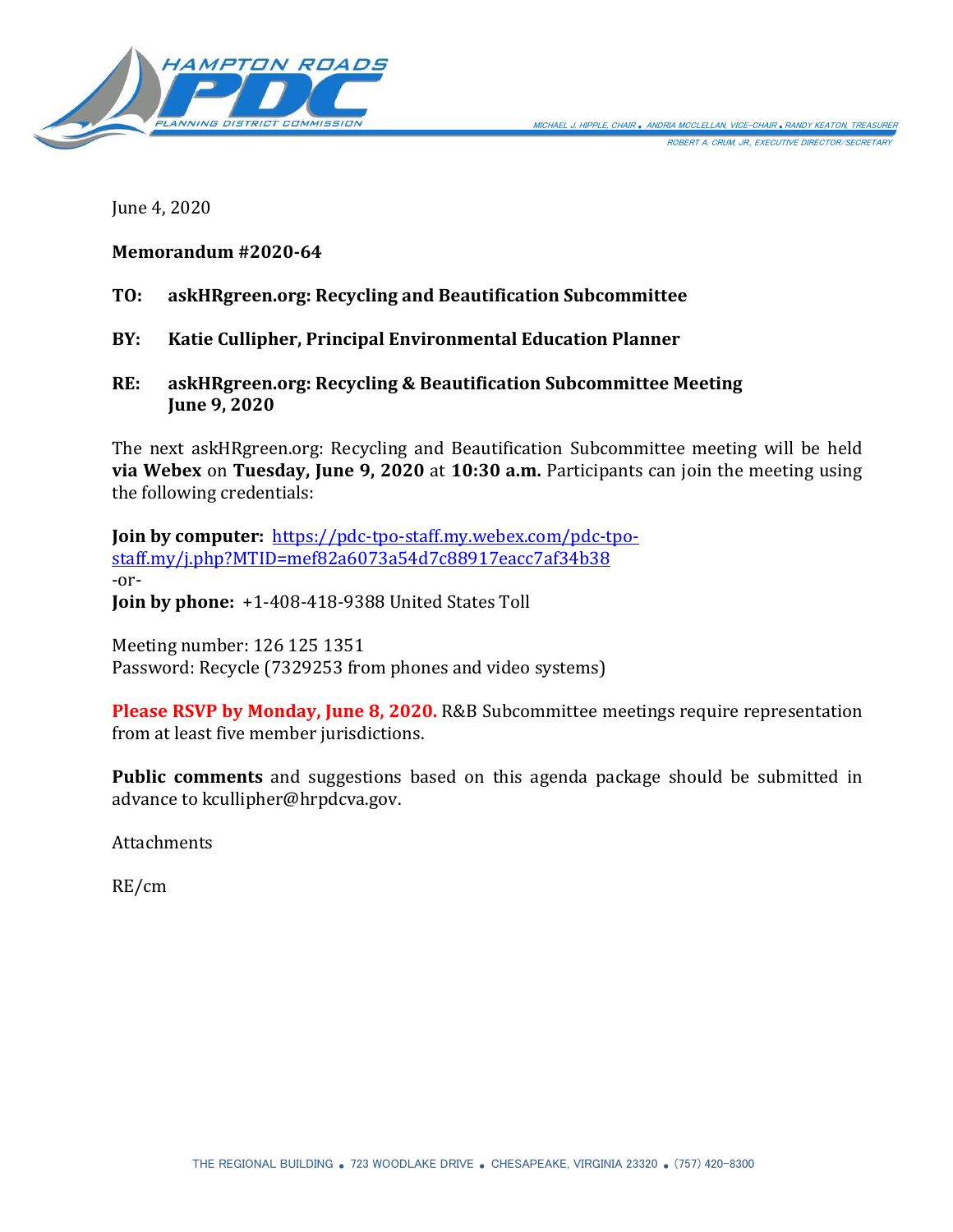

June 4, 2020

# **Memorandum #2020-64**

- **TO: askHRgreen.org: Recycling and Beautification Subcommittee**
- **BY: Katie Cullipher, Principal Environmental Education Planner**
- **RE: askHRgreen.org: Recycling & Beautification Subcommittee Meeting June 9, 2020**

The next askHRgreen.org: Recycling and Beautification Subcommittee meeting will be held **via Webex** on **Tuesday, June 9, 2020** at **10:30 a.m.** Participants can join the meeting using the following credentials:

**Join by computer:** [https://pdc-tpo-staff.my.webex.com/pdc-tpo](https://pdc-tpo-staff.my.webex.com/pdc-tpo-staff.my/j.php?MTID=mef82a6073a54d7c88917eacc7af34b38)[staff.my/j.php?MTID=mef82a6073a54d7c88917eacc7af34b38](https://pdc-tpo-staff.my.webex.com/pdc-tpo-staff.my/j.php?MTID=mef82a6073a54d7c88917eacc7af34b38) -or-**Join by phone:** +1-408-418-9388 United States Toll

Meeting number: 126 125 1351 Password: Recycle (7329253 from phones and video systems)

**Please RSVP by Monday, June 8, 2020.** R&B Subcommittee meetings require representation from at least five member jurisdictions.

**Public comments** and suggestions based on this agenda package should be submitted in advance to kcullipher@hrpdcva.gov.

**Attachments** 

RE/cm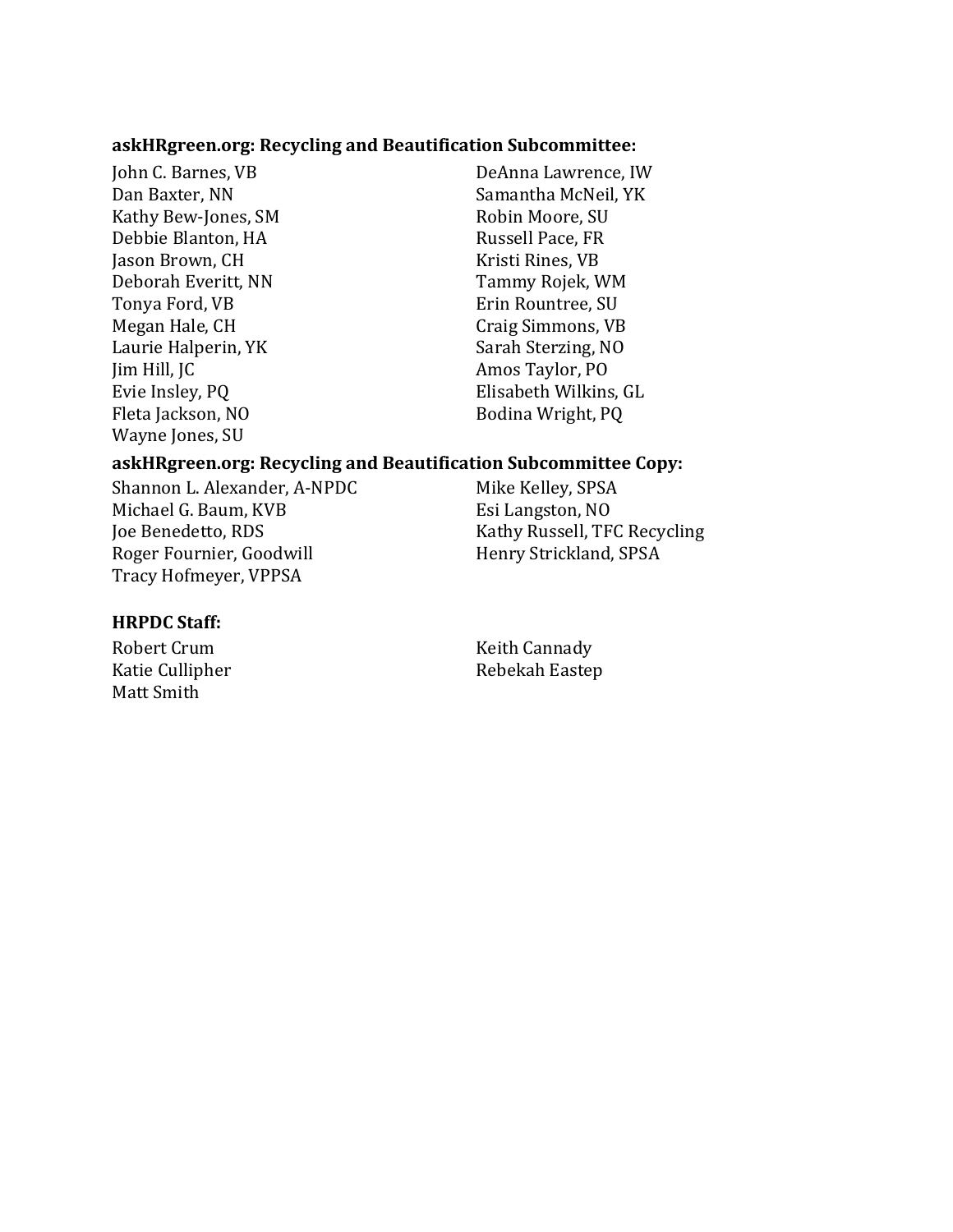#### **askHRgreen.org: Recycling and Beautification Subcommittee:**

Kathy Bew-Jones, SM Robin Moore, SU Debbie Blanton, HA Russell Pace, FR Jason Brown, CH Kristi Rines, VB Deborah Everitt, NN Tammy Rojek, WM Tonya Ford, VB **Example 2018** Erin Rountree, SU Megan Hale, CH Craig Simmons, VB Laurie Halperin, YK Sarah Sterzing, NO Jim Hill, JC Amos Taylor, PO Fleta Jackson, NO Bodina Wright, PQ Wayne Jones, SU

John C. Barnes, VB DeAnna Lawrence, IW Dan Baxter, NN Samantha McNeil, YK Evie Insley, PQ Elisabeth Wilkins, GL

#### **askHRgreen.org: Recycling and Beautification Subcommittee Copy:**

Shannon L. Alexander, A-NPDC Mike Kelley, SPSA Michael G. Baum, KVB Esi Langston, NO Joe Benedetto, RDS Kathy Russell, TFC Recycling Roger Fournier, Goodwill Henry Strickland, SPSA Tracy Hofmeyer, VPPSA

#### **HRPDC Staff:**

Matt Smith

Robert Crum Keith Cannady Katie Cullipher **Rebekah Eastep**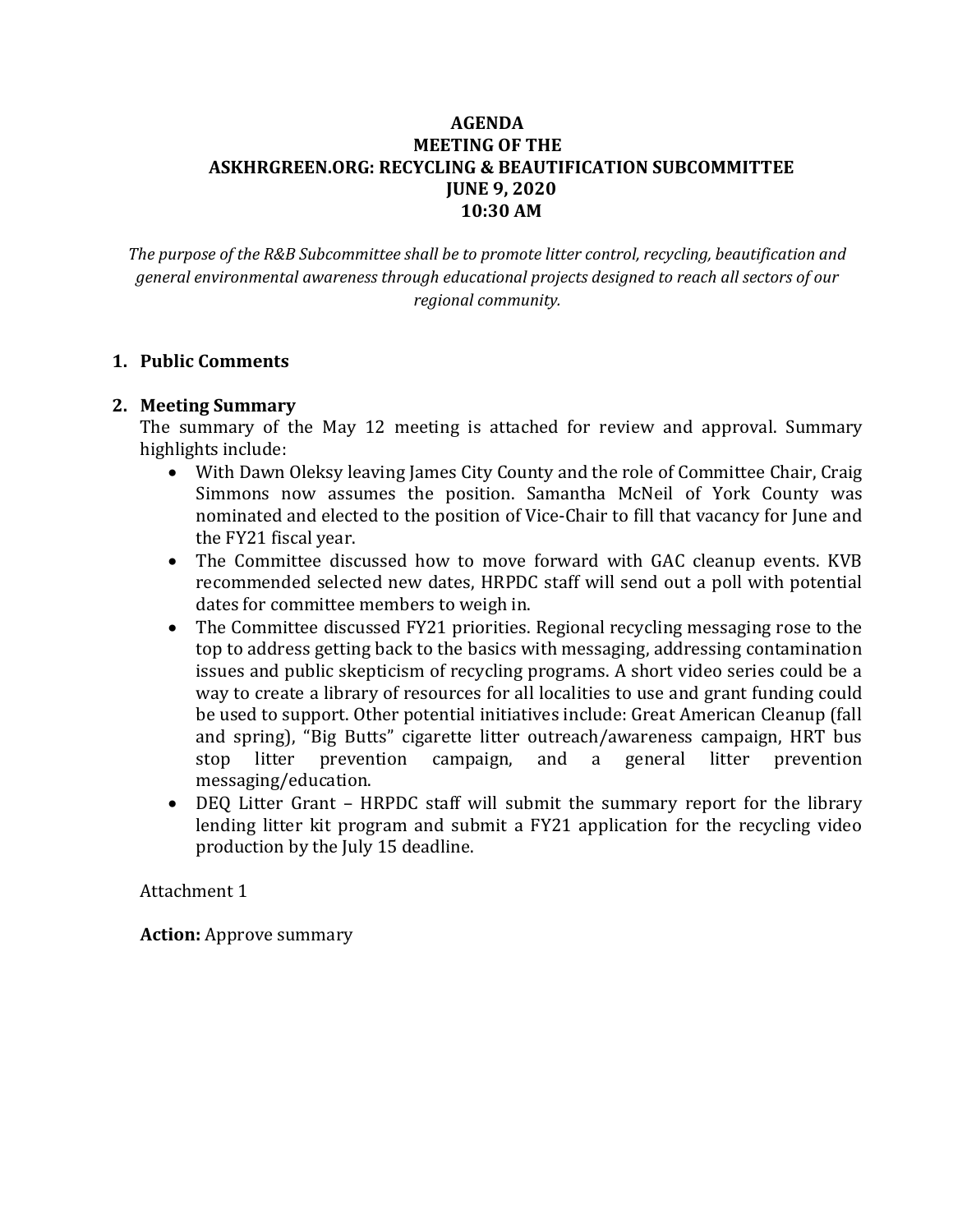# **AGENDA MEETING OF THE ASKHRGREEN.ORG: RECYCLING & BEAUTIFICATION SUBCOMMITTEE JUNE 9, 2020 10:30 AM**

*The purpose of the R&B Subcommittee shall be to promote litter control, recycling, beautification and general environmental awareness through educational projects designed to reach all sectors of our regional community.*

## **1. Public Comments**

## **2. Meeting Summary**

The summary of the May 12 meeting is attached for review and approval. Summary highlights include:

- With Dawn Oleksy leaving James City County and the role of Committee Chair, Craig Simmons now assumes the position. Samantha McNeil of York County was nominated and elected to the position of Vice-Chair to fill that vacancy for June and the FY21 fiscal year.
- The Committee discussed how to move forward with GAC cleanup events. KVB recommended selected new dates, HRPDC staff will send out a poll with potential dates for committee members to weigh in.
- The Committee discussed FY21 priorities. Regional recycling messaging rose to the top to address getting back to the basics with messaging, addressing contamination issues and public skepticism of recycling programs. A short video series could be a way to create a library of resources for all localities to use and grant funding could be used to support. Other potential initiatives include: Great American Cleanup (fall and spring), "Big Butts" cigarette litter outreach/awareness campaign, HRT bus stop litter prevention campaign, and a general litter prevention messaging/education.
- DEQ Litter Grant HRPDC staff will submit the summary report for the library lending litter kit program and submit a FY21 application for the recycling video production by the July 15 deadline.

## Attachment 1

**Action:** Approve summary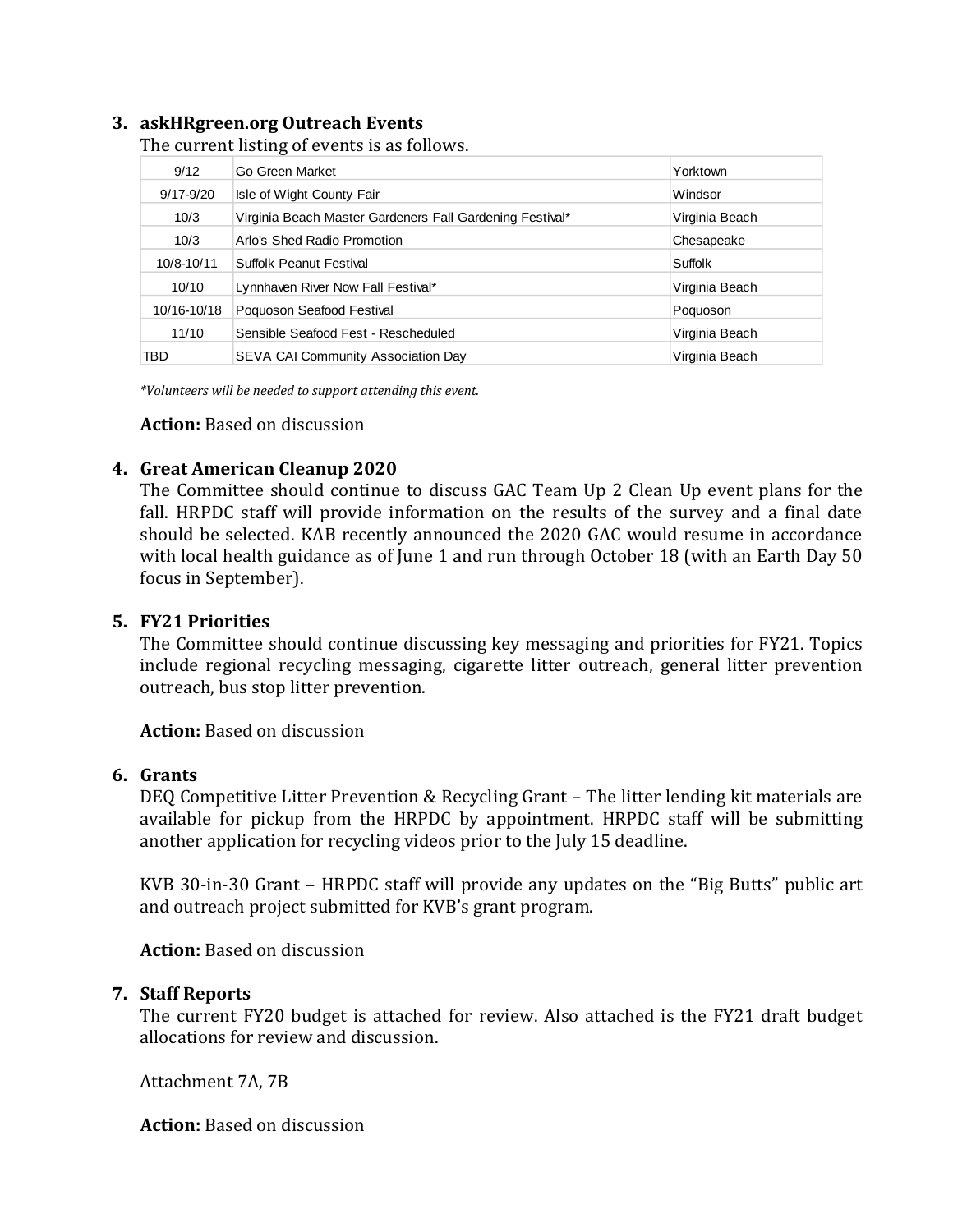# **3. askHRgreen.org Outreach Events**

The current listing of events is as follows.

| 9/12                                                                                                                                                 | Go Green Market                                                                                                                                                                                                                                                                                                                                                                                    | Yorktown       |
|------------------------------------------------------------------------------------------------------------------------------------------------------|----------------------------------------------------------------------------------------------------------------------------------------------------------------------------------------------------------------------------------------------------------------------------------------------------------------------------------------------------------------------------------------------------|----------------|
| 9/17-9/20                                                                                                                                            | Isle of Wight County Fair                                                                                                                                                                                                                                                                                                                                                                          | Windsor        |
| 10/3                                                                                                                                                 | Virginia Beach Master Gardeners Fall Gardening Festival*                                                                                                                                                                                                                                                                                                                                           | Virginia Beach |
| 10/3                                                                                                                                                 | Arlo's Shed Radio Promotion                                                                                                                                                                                                                                                                                                                                                                        | Chesapeake     |
| 10/8-10/11                                                                                                                                           | Suffolk Peanut Festival                                                                                                                                                                                                                                                                                                                                                                            | Suffolk        |
| 10/10                                                                                                                                                | Lynnhaven River Now Fall Festival*                                                                                                                                                                                                                                                                                                                                                                 | Virginia Beach |
| 10/16-10/18                                                                                                                                          | Poquoson Seafood Festival                                                                                                                                                                                                                                                                                                                                                                          | Poquoson       |
| 11/10                                                                                                                                                | Sensible Seafood Fest - Rescheduled                                                                                                                                                                                                                                                                                                                                                                | Virginia Beach |
| <b>TBD</b>                                                                                                                                           | SEVA CAI Community Association Day                                                                                                                                                                                                                                                                                                                                                                 | Virginia Beach |
|                                                                                                                                                      | *Volunteers will be needed to support attending this event.<br><b>Action:</b> Based on discussion<br><b>Great American Cleanup 2020</b><br>The Committee should continue to discuss GAC Team Up 2 Clean Up event plans fo<br>fall. HRPDC staff will provide information on the results of the survey and a final<br>should be selected. KAB recently announced the 2020 GAC would resume in accord |                |
| with local health guidance as of June 1 and run through October 18 (with an Earth Da<br>focus in September).                                         |                                                                                                                                                                                                                                                                                                                                                                                                    |                |
| <b>FY21 Priorities</b>                                                                                                                               | The Committee should continue discussing key messaging and priorities for FY21. T<br>include regional recycling messaging, cigarette litter outreach, general litter prever<br>outreach, bus stop litter prevention.<br><b>Action:</b> Based on discussion                                                                                                                                         |                |
| Grants                                                                                                                                               | DEQ Competitive Litter Prevention & Recycling Grant - The litter lending kit material<br>available for pickup from the HRPDC by appointment. HRPDC staff will be submi<br>another application for recycling videos prior to the July 15 deadline.                                                                                                                                                  |                |
| KVB 30-in-30 Grant - HRPDC staff will provide any updates on the "Big Butts" publity<br>and outreach project submitted for KVB's grant program.      |                                                                                                                                                                                                                                                                                                                                                                                                    |                |
|                                                                                                                                                      | <b>Action:</b> Based on discussion                                                                                                                                                                                                                                                                                                                                                                 |                |
| <b>Staff Reports</b><br>The current FY20 budget is attached for review. Also attached is the FY21 draft bu<br>allocations for review and discussion. |                                                                                                                                                                                                                                                                                                                                                                                                    |                |
| Attachment 7A, 7B                                                                                                                                    |                                                                                                                                                                                                                                                                                                                                                                                                    |                |
| <b>Action:</b> Based on discussion                                                                                                                   |                                                                                                                                                                                                                                                                                                                                                                                                    |                |

#### **Action:** Based on discussion

#### **4. Great American Cleanup 2020**

The Committee should continue to discuss GAC Team Up 2 Clean Up event plans for the fall. HRPDC staff will provide information on the results of the survey and a final date should be selected. KAB recently announced the 2020 GAC would resume in accordance with local health guidance as of June 1 and run through October 18 (with an Earth Day 50 focus in September).

#### **5. FY21 Priorities**

The Committee should continue discussing key messaging and priorities for FY21. Topics include regional recycling messaging, cigarette litter outreach, general litter prevention outreach, bus stop litter prevention.

#### **6. Grants**

DEQ Competitive Litter Prevention & Recycling Grant – The litter lending kit materials are available for pickup from the HRPDC by appointment. HRPDC staff will be submitting another application for recycling videos prior to the July 15 deadline.

KVB 30-in-30 Grant – HRPDC staff will provide any updates on the "Big Butts" public art and outreach project submitted for KVB's grant program.

## **7. Staff Reports**

The current FY20 budget is attached for review. Also attached is the FY21 draft budget allocations for review and discussion.